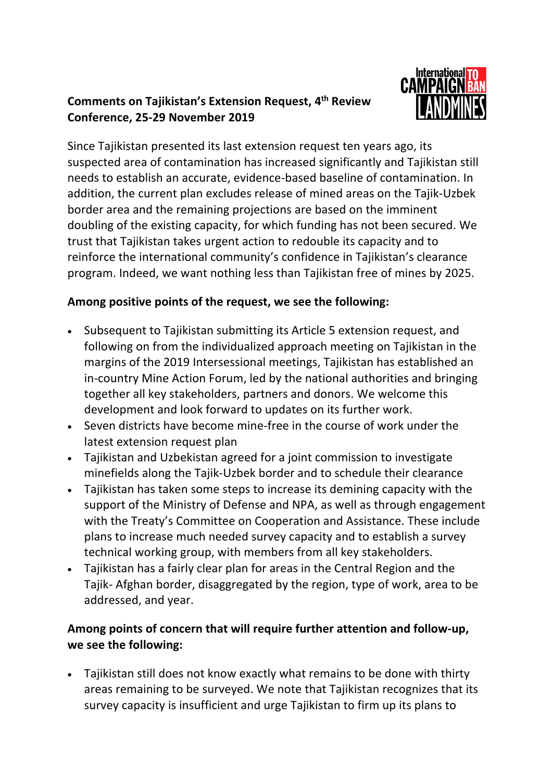## **Comments on Tajikistan's Extension Request, 4th Review Conference, 25-29 November 2019**



Since Tajikistan presented its last extension request ten years ago, its suspected area of contamination has increased significantly and Tajikistan still needs to establish an accurate, evidence-based baseline of contamination. In addition, the current plan excludes release of mined areas on the Tajik-Uzbek border area and the remaining projections are based on the imminent doubling of the existing capacity, for which funding has not been secured. We trust that Tajikistan takes urgent action to redouble its capacity and to reinforce the international community's confidence in Tajikistan's clearance program. Indeed, we want nothing less than Tajikistan free of mines by 2025.

## **Among positive points of the request, we see the following:**

- Subsequent to Tajikistan submitting its Article 5 extension request, and following on from the individualized approach meeting on Tajikistan in the margins of the 2019 Intersessional meetings, Tajikistan has established an in-country Mine Action Forum, led by the national authorities and bringing together all key stakeholders, partners and donors. We welcome this development and look forward to updates on its further work.
- Seven districts have become mine-free in the course of work under the latest extension request plan
- Tajikistan and Uzbekistan agreed for a joint commission to investigate minefields along the Tajik-Uzbek border and to schedule their clearance
- Tajikistan has taken some steps to increase its demining capacity with the support of the Ministry of Defense and NPA, as well as through engagement with the Treaty's Committee on Cooperation and Assistance. These include plans to increase much needed survey capacity and to establish a survey technical working group, with members from all key stakeholders.
- Tajikistan has a fairly clear plan for areas in the Central Region and the Tajik- Afghan border, disaggregated by the region, type of work, area to be addressed, and year.

## **Among points of concern that will require further attention and follow-up, we see the following:**

• Tajikistan still does not know exactly what remains to be done with thirty areas remaining to be surveyed. We note that Tajikistan recognizes that its survey capacity is insufficient and urge Tajikistan to firm up its plans to